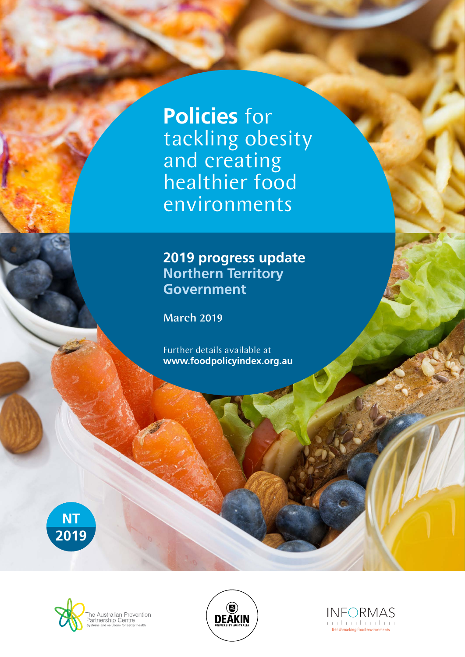**Policies** for tackling obesity and creating healthier food environments

## **2019 progress update Northern Territory Government**

March 2019

Further details available at **www.foodpolicyindex.org.au**







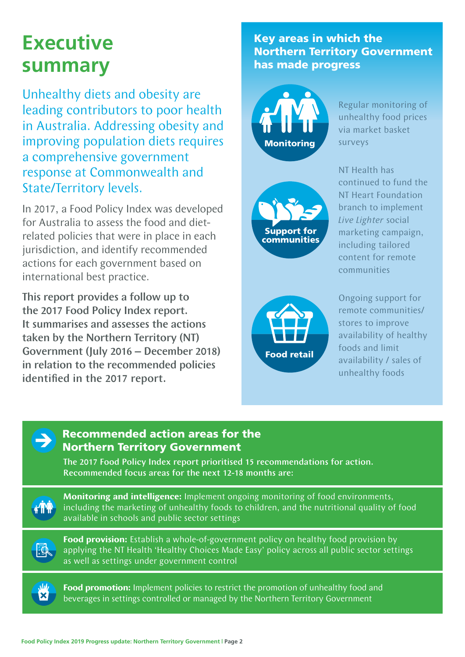# **Executive summary**

Unhealthy diets and obesity are leading contributors to poor health in Australia. Addressing obesity and improving population diets requires a comprehensive government response at Commonwealth and State/Territory levels.

In 2017, a Food Policy Index was developed for Australia to assess the food and dietrelated policies that were in place in each jurisdiction, and identify recommended actions for each government based on international best practice.

This report provides a follow up to the 2017 Food Policy Index report. It summarises and assesses the actions taken by the Northern Territory (NT) Government (July 2016 – December 2018) in relation to the recommended policies identified in the 2017 report.

### Key areas in which the Northern Territory Government has made progress



Regular monitoring of unhealthy food prices via market basket surveys



NT Health has continued to fund the NT Heart Foundation branch to implement *Live Lighter* social marketing campaign, including tailored content for remote communities



Ongoing support for remote communities/ stores to improve availability of healthy foods and limit availability / sales of unhealthy foods



#### Recommended action areas for the Northern Territory Government

The 2017 Food Policy Index report prioritised 15 recommendations for action. Recommended focus areas for the next 12-18 months are:



**Monitoring and intelligence:** Implement ongoing monitoring of food environments, including the marketing of unhealthy foods to children, and the nutritional quality of food available in schools and public sector settings



**Food provision:** Establish a whole-of-government policy on healthy food provision by applying the NT Health 'Healthy Choices Made Easy' policy across all public sector settings as well as settings under government control



**Food promotion:** Implement policies to restrict the promotion of unhealthy food and beverages in settings controlled or managed by the Northern Territory Government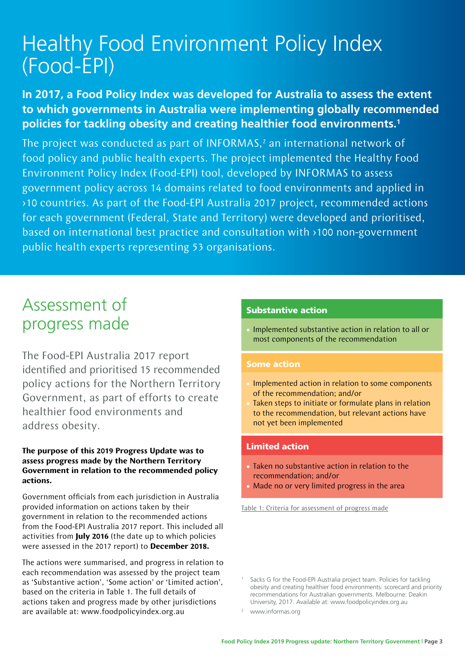# Healthy Food Environment Policy Index (Food-EPI)

### **In 2017, a Food Policy Index was developed for Australia to assess the extent to which governments in Australia were implementing globally recommended policies for tackling obesity and creating healthier food environments.1**

The project was conducted as part of INFORMAS, $<sup>2</sup>$  an international network of</sup> food policy and public health experts. The project implemented the Healthy Food Environment Policy Index (Food-EPI) tool, developed by INFORMAS to assess government policy across 14 domains related to food environments and applied in >10 countries. As part of the Food-EPI Australia 2017 project, recommended actions for each government (Federal, State and Territory) were developed and prioritised, based on international best practice and consultation with >100 non-government public health experts representing 53 organisations.

# Assessment of progress made

The Food-EPI Australia 2017 report identified and prioritised 15 recommended policy actions for the Northern Territory Government, as part of efforts to create healthier food environments and address obesity.

#### **The purpose of this 2019 Progress Update was to assess progress made by the Northern Territory Government in relation to the recommended policy actions.**

Government officials from each jurisdiction in Australia provided information on actions taken by their government in relation to the recommended actions from the Food-EPI Australia 2017 report. This included all activities from **July 2016** (the date up to which policies were assessed in the 2017 report) to **December 2018.**

The actions were summarised, and progress in relation to each recommendation was assessed by the project team as 'Substantive action', 'Some action' or 'Limited action', based on the criteria in Table 1. The full details of actions taken and progress made by other jurisdictions are available at: www.foodpolicyindex.org.au

#### Substantive action

• Implemented substantive action in relation to all or most components of the recommendation

#### Some action

- Implemented action in relation to some components of the recommendation; and/or
- Taken steps to initiate or formulate plans in relation to the recommendation, but relevant actions have not yet been implemented

#### Limited action

- Taken no substantive action in relation to the recommendation; and/or
- Made no or very limited progress in the area

Table 1: Criteria for assessment of progress made

Sacks G for the Food-EPI Australia project team. Policies for tackling obesity and creating healthier food environments: scorecard and priority recommendations for Australian governments. Melbourne: Deakin University, 2017. Available at: www.foodpolicyindex.org.au

www.informas.org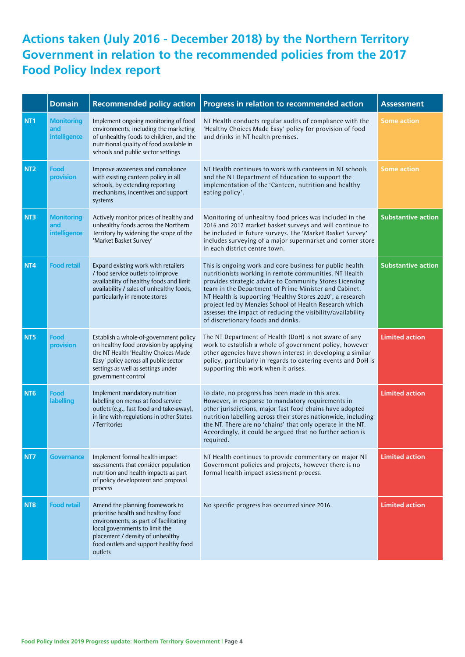## **Actions taken (July 2016 - December 2018) by the Northern Territory Government in relation to the recommended policies from the 2017 Food Policy Index report**

|                 | <b>Domain</b>                            | <b>Recommended policy action</b>                                                                                                                                                                                                         | Progress in relation to recommended action                                                                                                                                                                                                                                                                                                                                                                                                                         | <b>Assessment</b>         |
|-----------------|------------------------------------------|------------------------------------------------------------------------------------------------------------------------------------------------------------------------------------------------------------------------------------------|--------------------------------------------------------------------------------------------------------------------------------------------------------------------------------------------------------------------------------------------------------------------------------------------------------------------------------------------------------------------------------------------------------------------------------------------------------------------|---------------------------|
| NT1             | <b>Monitoring</b><br>and<br>intelligence | Implement ongoing monitoring of food<br>environments, including the marketing<br>of unhealthy foods to children, and the<br>nutritional quality of food available in<br>schools and public sector settings                               | NT Health conducts regular audits of compliance with the<br>'Healthy Choices Made Easy' policy for provision of food<br>and drinks in NT health premises.                                                                                                                                                                                                                                                                                                          | <b>Some action</b>        |
| NT <sub>2</sub> | Food<br>provision                        | Improve awareness and compliance<br>with existing canteen policy in all<br>schools, by extending reporting<br>mechanisms, incentives and support<br>systems                                                                              | NT Health continues to work with canteens in NT schools<br>and the NT Department of Education to support the<br>implementation of the 'Canteen, nutrition and healthy<br>eating policy'.                                                                                                                                                                                                                                                                           | <b>Some action</b>        |
| NT3             | <b>Monitoring</b><br>and<br>intelligence | Actively monitor prices of healthy and<br>unhealthy foods across the Northern<br>Territory by widening the scope of the<br>'Market Basket Survey'                                                                                        | Monitoring of unhealthy food prices was included in the<br>2016 and 2017 market basket surveys and will continue to<br>be included in future surveys. The 'Market Basket Survey'<br>includes surveying of a major supermarket and corner store<br>in each district centre town.                                                                                                                                                                                    | <b>Substantive action</b> |
| NT4             | <b>Food retail</b>                       | Expand existing work with retailers<br>/ food service outlets to improve<br>availability of healthy foods and limit<br>availability / sales of unhealthy foods,<br>particularly in remote stores                                         | This is ongoing work and core business for public health<br>nutritionists working in remote communities. NT Health<br>provides strategic advice to Community Stores Licensing<br>team in the Department of Prime Minister and Cabinet.<br>NT Health is supporting 'Healthy Stores 2020', a research<br>project led by Menzies School of Health Research which<br>assesses the impact of reducing the visibility/availability<br>of discretionary foods and drinks. | <b>Substantive action</b> |
| NT5             | Food<br>provision                        | Establish a whole-of-government policy<br>on healthy food provision by applying<br>the NT Health 'Healthy Choices Made<br>Easy' policy across all public sector<br>settings as well as settings under<br>government control              | The NT Department of Health (DoH) is not aware of any<br>work to establish a whole of government policy, however<br>other agencies have shown interest in developing a similar<br>policy, particularly in regards to catering events and DoH is<br>supporting this work when it arises.                                                                                                                                                                            | <b>Limited action</b>     |
| NT <sub>6</sub> | Food<br>labelling                        | Implement mandatory nutrition<br>labelling on menus at food service<br>outlets (e.g., fast food and take-away),<br>in line with regulations in other States<br>/ Territories                                                             | To date, no progress has been made in this area.<br>However, in response to mandatory requirements in<br>other jurisdictions, major fast food chains have adopted<br>nutrition labelling across their stores nationwide, including<br>the NT. There are no 'chains' that only operate in the NT.<br>Accordingly, it could be argued that no further action is<br>required.                                                                                         | <b>Limited action</b>     |
| NT7             | <b>Governance</b>                        | Implement formal health impact<br>assessments that consider population<br>nutrition and health impacts as part<br>of policy development and proposal<br>process                                                                          | NT Health continues to provide commentary on major NT<br>Government policies and projects, however there is no<br>formal health impact assessment process.                                                                                                                                                                                                                                                                                                         | <b>Limited action</b>     |
| NT8             | <b>Food retail</b>                       | Amend the planning framework to<br>prioritise health and healthy food<br>environments, as part of facilitating<br>local governments to limit the<br>placement / density of unhealthy<br>food outlets and support healthy food<br>outlets | No specific progress has occurred since 2016.                                                                                                                                                                                                                                                                                                                                                                                                                      | <b>Limited action</b>     |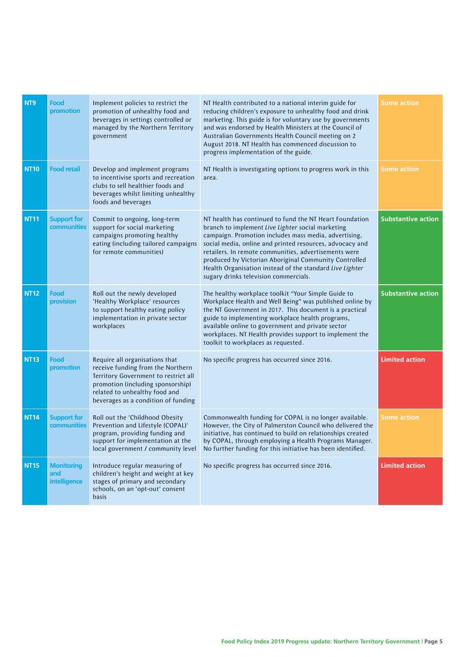| NT9         | Food<br>promotion                        | Implement policies to restrict the<br>promotion of unhealthy food and<br>beverages in settings controlled or<br>managed by the Northern Territory<br>government                                                          | NT Health contributed to a national interim guide for<br>reducing children's exposure to unhealthy food and drink<br>marketing. This guide is for voluntary use by governments<br>and was endorsed by Health Ministers at the Council of<br>Australian Governments Health Council meeting on 2<br>August 2018. NT Health has commenced discussion to<br>progress implementation of the guide.                                                            | <b>Some action</b>        |
|-------------|------------------------------------------|--------------------------------------------------------------------------------------------------------------------------------------------------------------------------------------------------------------------------|----------------------------------------------------------------------------------------------------------------------------------------------------------------------------------------------------------------------------------------------------------------------------------------------------------------------------------------------------------------------------------------------------------------------------------------------------------|---------------------------|
| <b>NT10</b> | <b>Food retail</b>                       | Develop and implement programs<br>to incentivise sports and recreation<br>clubs to sell healthier foods and<br>beverages whilst limiting unhealthy<br>foods and beverages                                                | NT Health is investigating options to progress work in this<br>area.                                                                                                                                                                                                                                                                                                                                                                                     | <b>Some action</b>        |
| <b>NT11</b> | <b>Support for</b><br>communities        | Commit to ongoing, long-term<br>support for social marketing<br>campaigns promoting healthy<br>eating (including tailored campaigns<br>for remote communities)                                                           | NT health has continued to fund the NT Heart Foundation<br>branch to implement Live Lighter social marketing<br>campaign. Promotion includes mass media, advertising,<br>social media, online and printed resources, advocacy and<br>retailers. In remote communities, advertisements were<br>produced by Victorian Aboriginal Community Controlled<br>Health Organisation instead of the standard Live Lighter<br>sugary drinks television commercials. | <b>Substantive action</b> |
| <b>NT12</b> | Food<br>provision                        | Roll out the newly developed<br>'Healthy Workplace' resources<br>to support healthy eating policy<br>implementation in private sector<br>workplaces                                                                      | The healthy workplace toolkit "Your Simple Guide to<br>Workplace Health and Well Being" was published online by<br>the NT Government in 2017. This document is a practical<br>guide to implementing workplace health programs,<br>available online to government and private sector<br>workplaces. NT Health provides support to implement the<br>toolkit to workplaces as requested.                                                                    | <b>Substantive action</b> |
| <b>NT13</b> | <b>Food</b><br>promotion                 | Require all organisations that<br>receive funding from the Northern<br>Territory Government to restrict all<br>promotion (including sponsorship)<br>related to unhealthy food and<br>beverages as a condition of funding | No specific progress has occurred since 2016.                                                                                                                                                                                                                                                                                                                                                                                                            | <b>Limited action</b>     |
| <b>NT14</b> | <b>Support for</b><br>communities        | Roll out the 'Childhood Obesity<br>Prevention and Lifestyle (COPAL)'<br>program, providing funding and<br>support for implementation at the<br>local government / community level                                        | Commonwealth funding for COPAL is no longer available.<br>However, the City of Palmerston Council who delivered the<br>initiative, has continued to build on relationships created<br>by COPAL, through employing a Health Programs Manager.<br>No further funding for this initiative has been identified.                                                                                                                                              | <b>Some action</b>        |
| <b>NT15</b> | <b>Monitoring</b><br>and<br>intelligence | Introduce regular measuring of<br>children's height and weight at key<br>stages of primary and secondary<br>schools, on an 'opt-out' consent<br>basis                                                                    | No specific progress has occurred since 2016.                                                                                                                                                                                                                                                                                                                                                                                                            | <b>Limited action</b>     |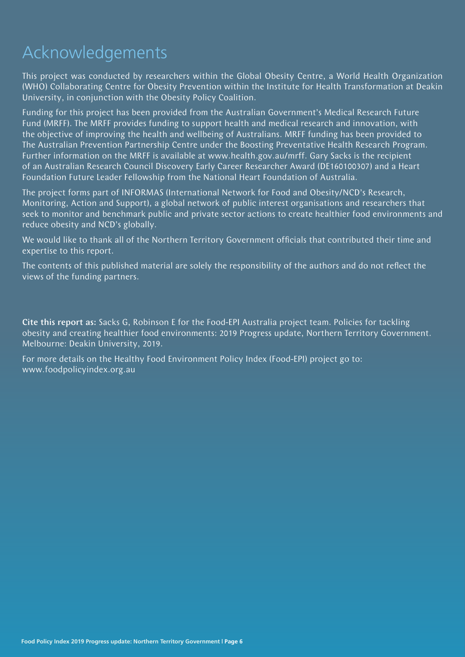# Acknowledgements

This project was conducted by researchers within the Global Obesity Centre, a World Health Organization (WHO) Collaborating Centre for Obesity Prevention within the Institute for Health Transformation at Deakin University, in conjunction with the Obesity Policy Coalition.

Funding for this project has been provided from the Australian Government's Medical Research Future Fund (MRFF). The MRFF provides funding to support health and medical research and innovation, with the objective of improving the health and wellbeing of Australians. MRFF funding has been provided to The Australian Prevention Partnership Centre under the Boosting Preventative Health Research Program. Further information on the MRFF is available at www.health.gov.au/mrff. Gary Sacks is the recipient of an Australian Research Council Discovery Early Career Researcher Award (DE160100307) and a Heart Foundation Future Leader Fellowship from the National Heart Foundation of Australia.

The project forms part of INFORMAS (International Network for Food and Obesity/NCD's Research, Monitoring, Action and Support), a global network of public interest organisations and researchers that seek to monitor and benchmark public and private sector actions to create healthier food environments and reduce obesity and NCD's globally.

We would like to thank all of the Northern Territory Government officials that contributed their time and expertise to this report.

The contents of this published material are solely the responsibility of the authors and do not reflect the views of the funding partners.

Cite this report as: Sacks G, Robinson E for the Food-EPI Australia project team. Policies for tackling obesity and creating healthier food environments: 2019 Progress update, Northern Territory Government. Melbourne: Deakin University, 2019.

For more details on the Healthy Food Environment Policy Index (Food-EPI) project go to: www.foodpolicyindex.org.au